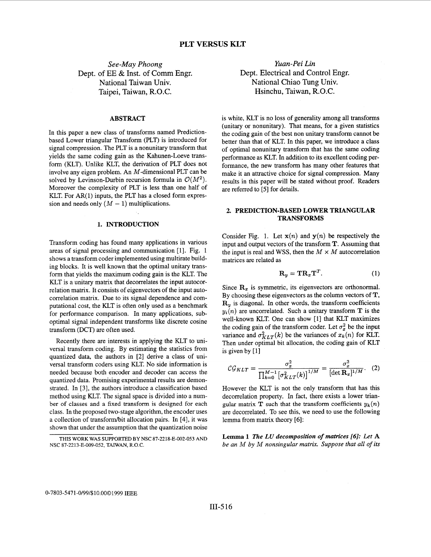*See-May Phoong*  Dept. of EE & Inst. of Comm Engr. National Taiwan Univ. Taipei, Taiwan, R.O.C.

### **ABSTRACT**

In this paper a new class of transforms named Predictionbased Lower triangular Transform (PLT) is introduced for signal compression. The PLT is a nonunitary transform that yields the same coding gain as the Kahunen-Loeve transform (KLT). Unlike KLT, the derivation of PLT does not involve any eigen problem. An M-dimensional PLT can be solved by Levinson-Durbin recursion formula in  $\mathcal{O}(M^2)$ . Moreover the complexity of PLT is less than one half of KLT. For  $AR(1)$  inputs, the PLT has a closed form expression and needs only  $(M - 1)$  multiplications.

## **1. INTRODUCTION**

Transform coding has found many applications in various areas of signal processing and communication [I]. Fig. 1 shows a transform coder implemented using multirate building blocks. It is well known that the optimal unitary transform that yields the maximum coding gain is the KLT. The KLT is a unitary matrix that decorrelates the input autocorrelation matrix. It consists of eigenvectors of the input autocorrelation matrix. Due to its signal dependence and computational cost, the KLT is often only used as a benchmark for performance comparison. In many applications, suboptimal signal independent transforms like discrete cosine transform (DCT) are often used.

Recently there are interests in applying the KLT to universal transform coding. By estimating the statistics from quantized data, the authors in [2] derive a class of universal transform coders using KLT. No side information is needed because both encoder and decoder can access the quantized data. Promising experimental results are demonstrated. In **[3],** the authors introduce a classification based method using KLT. The signal space is divided into a number of classes and a fixed transform is designed for each class. In the proposed two-stage algorithm, the encoder uses a collection of transform/bit allocation pairs. In [4], it was shown that under the assumption that the quantization noise

*Yuan-Pei Lin*  Dept. Electrical and Control Engr. National Chiao Tung Univ. Hsinchu, Taiwan, R.O.C.

is white, KLT is no loss of generality among all transforms (unitary or nonunitary). That means, for a given statistics the coding gain of the best non unitary transform cannot be better than that of KLT. In this paper, we introduce a class of optimal nonunitary transform that has the same coding performance as KLT. In addition to its excellent coding performance, the new transform has many other features that make it an attractive choice for signal compression. Many results in this paper will be stated without proof. Readers are referred to [5] for details.

## **2. PREDICTION-BASED LOWER TRIANGULAR TRANSFORMS**

Consider Fig. 1. Let  $\mathbf{x}(n)$  and  $\mathbf{y}(n)$  be respectively the input and output vectors of the transform T. Assuming that the input is real and WSS, then the  $M \times M$  autocorrelation matrices are related as

$$
\mathbf{R}_y = \mathbf{T} \mathbf{R}_x \mathbf{T}^T. \tag{1}
$$

Since  $\mathbf{R}_x$  is symmetric, its eigenvectors are orthonormal. By choosing these eigenvectors as the column vectors of **T,**   $\mathbf{R}_u$  is diagonal. In other words, the transform coefficients  $y_i(n)$  are uncorrelated. Such a unitary transform **T** is the well-known KLT. One can show [1] that KLT maximizes the coding gain of the transform coder. Let  $\sigma_x^2$  be the input variance and  $\sigma_{KLT}^2(k)$  be the variances of  $x_k(n)$  for KLT. Then under optimal bit allocation, the coding gain of KLT is given by  $[1]$ 

$$
\mathcal{CG}_{KLT} = \frac{\sigma_x^2}{\prod_{k=0}^{M-1} [\sigma_{KLT}^2(k)]^{1/M}} = \frac{\sigma_x^2}{[\det \mathbf{R}_x]^{1/M}}.
$$
 (2)

However the KLT is not the only transform that has this decorrelation property. In fact, there exists a lower triangular matrix **T** such that the transform coefficients  $y_k(n)$ are decorrelated. To see this, we need to use the following lemma from matrix theory *[6]* :

**Lemma 1** *The LU decomposition of matrices [6]: Let* **A**  *be an M by M nonsingular matrix. Suppose that all* of *its* 

**THIS WORK WAS SUPPORTED BY NSC** 87-2218-E-002-053 **AND NSC** 87-2213-E-009-052, **TAIWAN, R.O.C.**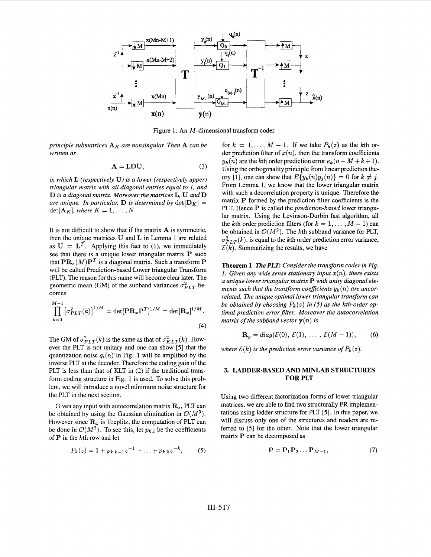

Figure 1: An M-dimensional transform coder.

*principle submatrices*  $A_K$  *are nonsingular. Then*  $A$  *can be written as* 

$$
A = LDU,
$$
 (3)

*in which* **L** *(respectively* **U}** *is a lower (respectively upper) triangular matrix with all diagonal entries equal to I, and*  **D** *is a diagonal matrix. Moreover the matrices* **L, U** *and* **D**  *are unique. In particular, D is determined by*  $\det[\mathbf{D}_K] =$  $\det[\mathbf{A}_K]$ *, where*  $K = 1, \ldots, N$ .

It is not difficult to show that if the matrix **A** is symmetric, then the unique matrices **U** and **L** in Lemma 1 are related as  $U = L^T$ . Applying this fact to (1), we immediately see that there is a unique lower triangular matrix P such that  $\mathbf{PR}_{\pi}(M)\mathbf{P}^T$  is a diagonal matrix. Such a transform  $\mathbf P$ will be called Prediction-based Lower triangular Transform (PLT). The reason for this name will become clear later. The geometric mean (GM) of the subband variances  $\sigma_{PLT}^2$  becomes

$$
\prod_{k=0}^{M-1} [\sigma_{PLT}^2(k)]^{1/M} = \det[\mathbf{PR}_x \mathbf{P}^T]^{1/M} = \det[\mathbf{R}_x]^{1/M}.
$$
\n(4)

The GM of  $\sigma_{PLT}^2(k)$  is the same as that of  $\sigma_{KLT}^2(k)$ . However the PLT is not unitary and one can show [5] that the quantization noise  $q_i(n)$  in Fig. 1 will be amplified by the inverse PLT at the decoder. Therefore the coding gain of the PLT is less than that of KLT in (2) if the traditional transform coding structure in Fig. 1 is used. To solve this problem, we will introduce a novel minimum noise structure for the PLT in the next section.

Given any input with autocorrelation matrix  $\mathbf{R}_x$ , PLT can be obtained by using the Gaussian elimination in  $\mathcal{O}(M^3)$ . However since  $\mathbf{R}_x$  is Toeplitz, the computation of PLT can be done in  $O(M^2)$ . To see this, let  $p_{k,i}$  be the coefficients of P in the kth row and let

$$
P_k(z) = 1 + p_{k,k-1}z^{-1} + \ldots + p_{k,0}z^{-k}, \qquad (5)
$$

for  $k = 1, \ldots, M - 1$ . If we take  $P_k(z)$  as the kth order prediction filter of  $x(n)$ , then the transform coefficients  $y_k(n)$  are the kth order prediction error  $e_k(n-M+k+1)$ . Using the orthogonality principle from linear prediction the*ory* [1], one can show that  $E\{y_k(n)y_j(n)\} = 0$  for  $k \neq j$ . From Lemma 1, we know that the lower triangular matrix with such a decorrelation property is unique. Therefore the matrix P formed by the prediction filter coefficients is the PLT. Hence P is called the *prediction-based* lower triangular matrix. Using the Levinson-Durbin fast algorithm, all the kth order prediction filters (for  $k = 1, \ldots, M - 1$ ) can be obtained in  $O(M^2)$ . The kth subband variance for PLT,  $\sigma_{PLT}^2(k)$ , is equal to the kth order prediction error variance,  $E(k)$ . Summarizing the results, we have

**Theorem 1** *The PLF Consider the transform coder in Fig. 1. Given any wide sense stationary input*  $x(n)$ *, there exists a unique lower triangular matrix* P *with unity diagonal elements such that the transform coefficients*  $y_k(n)$  *are uncorrelated. The unique optimal lower triangular transform can be obtained by choosing*  $P_k(z)$  *in* (5) *as the kth-order op*timal prediction error filter. Moreover the autocorrelation *matrix of the subband vector*  $y(n)$  *is* 

$$
\mathbf{R}_y = diag(\mathcal{E}(0), \ \mathcal{E}(1), \ \ldots, \ \mathcal{E}(M-1)), \qquad (6)
$$

*where*  $\mathcal{E}(k)$  *is the prediction error variance of*  $P_k(z)$ *.* 

# **3. LADDER-BASED AND MINLAB STRUCTURES FOR PLT**

Using two different factorization forms of lower triangular matrices, we are able to find two structurally PR implementations using ladder structure for PLT *[5].* In this paper, we will discuss only one of the structures and readers are referred to [5] for the other. Note that the lower triangular matrix P can be decomposed as

$$
\mathbf{P} = \mathbf{P}_1 \mathbf{P}_2 \dots \mathbf{P}_{M-1},\tag{7}
$$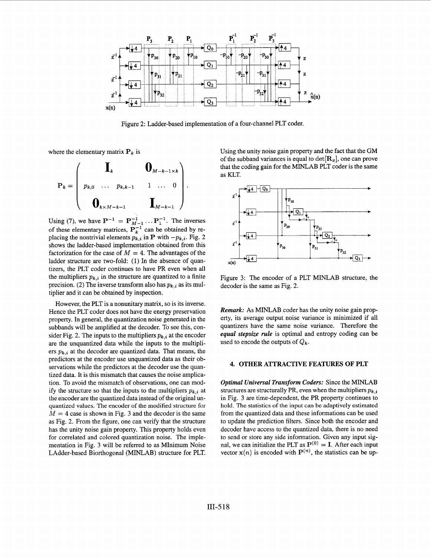

Figure *2:* Ladder-based implementation of a four-channel PLT coder.

where the elementary matrix  $P_k$  is

$$
\mathbf{P}_k = \left(\begin{array}{cccc} \mathbf{I}_k & \mathbf{0}_{M-k-1 \times k} \\ p_{k,0} & \cdots & p_{k,k-1} & 1 & \cdots & 0 \\ \mathbf{0}_{k \times M-k-1} & & \mathbf{I}_{M-k-1} \end{array}\right).
$$

Using (7), we have  $P^{-1} = P_{M-1}^{-1} \dots P_1^{-1}$ . The inverses of these elementary matrices,  $P_k^{-1}$  can be obtained by replacing the nontrivial elements  $p_{k,i}^k$  in **P** with  $-p_{k,i}$ . Fig. 2 shows the ladder-based implementation obtained from this factorization for the case of  $M = 4$ . The advantages of the ladder structure are two-fold: **(1)** In the absence of quantizers, the PLT coder continues to have PR even when all the multipliers  $p_{k,i}$  in the structure are quantized to a finite precision. (2) The inverse transform also has  $p_{k,i}$  as its multiplier and it can be obtained by inspection.

However, the PLT is a nonunitary matrix, so is its inverse. Hence the PLT coder does not have the energy preservation property. In general, the quantization noise generated in the subbands will be amplified at the decoder. To see this, consider Fig. 2. The inputs to the multipliers  $p_{k,i}$  at the encoder are the unquantized data while the inputs to the multipliers  $p_{k,i}$  at the decoder are quantized data. That means, the predictors at the encoder use unquantized data as their observations while the predictors at the decoder use the quantized data. It is this mismatch that causes the noise amplication. To avoid the mismatch of observations, one can modify the structure so that the inputs to the multipliers  $p_{k,i}$  at the encoder are the quantized data instead of the original unquantized values. The encoder of the modified structure for  $M = 4$  case is shown in Fig. 3 and the decoder is the same as Fig. 2. From the figure, one can verify that the structure has the unity noise gain property. This property holds even for correlated and colored quantization noise. The implementation in Fig. 3 will be referred to as MInimum Noise LAdder-based Biorthogonal (MINLAB) structure for PLT. Using the unity noise gain property and the fact that the GM of the subband variances is equal to  $\det[\mathbf{R}_x]$ , one can prove that the coding gain for the MINLAB PLT coder is the same as KLT.



Figure *3:* The encoder of a PLT MINLAB structure, the decoder is the same as Fig. **2.** 

*Remark:* As MINLAB coder has the unity noise gain property, its average output noise variance is minimized if all quantizers have the same noise variance. Therefore the *equal stepsize rule* is optimal and entropy coding can be used to encode the outputs of  $Q_k$ .

#### **4. OTHER ATTRACTIVE FEATURES OF PLT**

*Optimal Universal Transform Coders:* Since the MINLAB structures are structurally PR, even when the multipliers  $p_{k,i}$ in Fig. 3 are time-dependent, the PR property continues to hold. The statistics of the input can be adaptively estimated from the quantized data and these informations can be used to update the prediction filters. Since both the encoder and decoder have access to the quantized data, there is no need to send or store any side information. Given any input signal, we can initialize the PLT as  $P^{(0)} = I$ . After each input vector  $\mathbf{x}(n)$  is encoded with  $\mathbf{P}^{(n)}$ , the statistics can be up